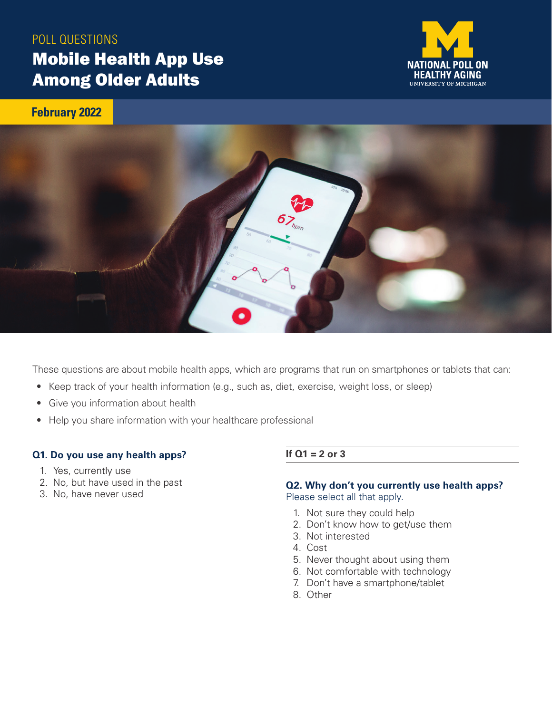# POLL QUESTIONS Mobile Health App Use Among Older Adults



**February 2022**



These questions are about mobile health apps, which are programs that run on smartphones or tablets that can:

- Keep track of your health information (e.g., such as, diet, exercise, weight loss, or sleep)
- Give you information about health
- Help you share information with your healthcare professional

#### **Q1. Do you use any health apps?**

- 1. Yes, currently use
- 2. No, but have used in the past
- 3. No, have never used

#### **If Q1 = 2 or 3**

#### **Q2. Why don't you currently use health apps?**  Please select all that apply.

- 1. Not sure they could help
- 2. Don't know how to get/use them
- 3. Not interested
- 4. Cost
- 5. Never thought about using them
- 6. Not comfortable with technology
- 7. Don't have a smartphone/tablet
- 8. Other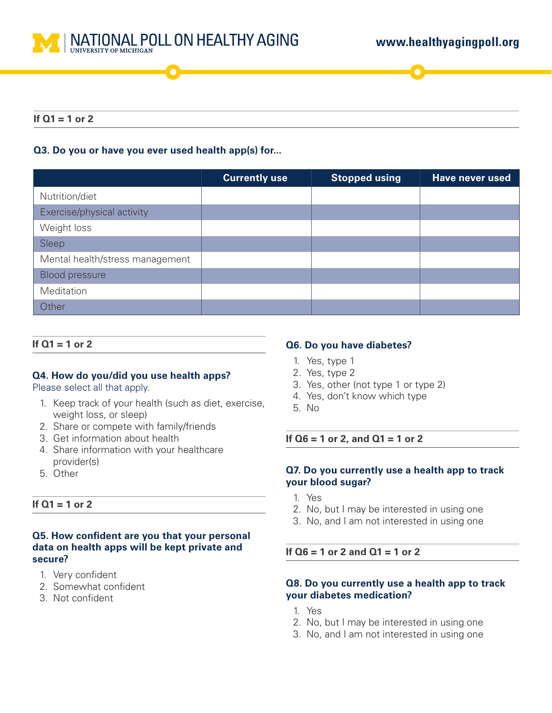

### **If Q1 = 1 or 2**

# **Q3. Do you or have you ever used health app(s) for...**

|                                 | <b>Currently use</b> | <b>Stopped using</b> | <b>Have never used</b> |
|---------------------------------|----------------------|----------------------|------------------------|
| Nutrition/diet                  |                      |                      |                        |
| Exercise/physical activity      |                      |                      |                        |
| Weight loss                     |                      |                      |                        |
| Sleep                           |                      |                      |                        |
| Mental health/stress management |                      |                      |                        |
| <b>Blood pressure</b>           |                      |                      |                        |
| Meditation                      |                      |                      |                        |
| Other                           |                      |                      |                        |

#### **If Q1 = 1 or 2**

# **Q4. How do you/did you use health apps?**

#### Please select all that apply.

- 1. Keep track of your health (such as diet, exercise, weight loss, or sleep)
- 2. Share or compete with family/friends
- 3. Get information about health
- 4. Share information with your healthcare provider(s)
- 5. Other

# **If Q1 = 1 or 2**

# **Q5. How confident are you that your personal data on health apps will be kept private and secure?**

- 1. Very confident
- 2. Somewhat confident
- 3. Not confident

#### **Q6. Do you have diabetes?**

- 1. Yes, type 1
- 2. Yes, type 2
- 3. Yes, other (not type 1 or type 2)
- 4. Yes, don't know which type
- 5. No

**If Q6 = 1 or 2, and Q1 = 1 or 2**

# **Q7. Do you currently use a health app to track your blood sugar?**

- 1. Yes
- 2. No, but I may be interested in using one
- 3. No, and I am not interested in using one

# **If Q6 = 1 or 2 and Q1 = 1 or 2**

#### **Q8. Do you currently use a health app to track your diabetes medication?**

- 1. Yes
- 2. No, but I may be interested in using one
- 3. No, and I am not interested in using one